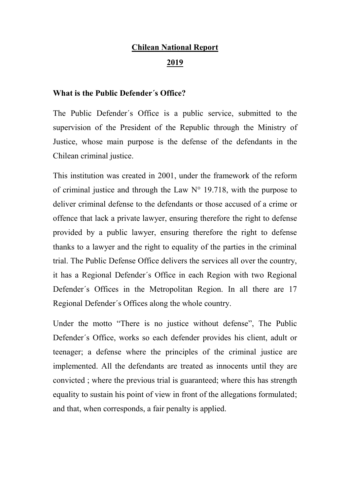#### **Chilean National Report**

#### **2019**

#### **What is the Public Defender´s Office?**

The Public Defender´s Office is a public service, submitted to the supervision of the President of the Republic through the Ministry of Justice, whose main purpose is the defense of the defendants in the Chilean criminal justice.

This institution was created in 2001, under the framework of the reform of criminal justice and through the Law  $N^{\circ}$  19.718, with the purpose to deliver criminal defense to the defendants or those accused of a crime or offence that lack a private lawyer, ensuring therefore the right to defense provided by a public lawyer, ensuring therefore the right to defense thanks to a lawyer and the right to equality of the parties in the criminal trial. The Public Defense Office delivers the services all over the country, it has a Regional Defender´s Office in each Region with two Regional Defender´s Offices in the Metropolitan Region. In all there are 17 Regional Defender´s Offices along the whole country.

Under the motto "There is no justice without defense", The Public Defender´s Office, works so each defender provides his client, adult or teenager; a defense where the principles of the criminal justice are implemented. All the defendants are treated as innocents until they are convicted ; where the previous trial is guaranteed; where this has strength equality to sustain his point of view in front of the allegations formulated; and that, when corresponds, a fair penalty is applied.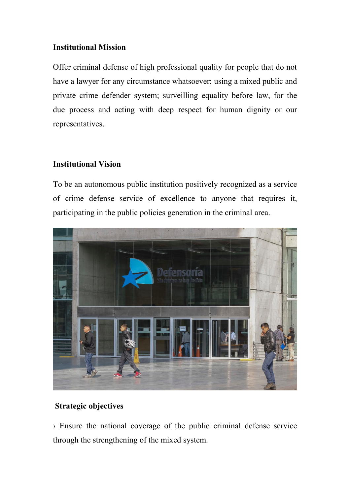## **Institutional Mission**

Offer criminal defense of high professional quality for people that do not have a lawyer for any circumstance whatsoever; using a mixed public and private crime defender system; surveilling equality before law, for the due process and acting with deep respect for human dignity or our representatives.

### **Institutional Vision**

To be an autonomous public institution positively recognized as a service of crime defense service of excellence to anyone that requires it, participating in the public policies generation in the criminal area.



## **Strategic objectives**

› Ensure the national coverage of the public criminal defense service through the strengthening of the mixed system.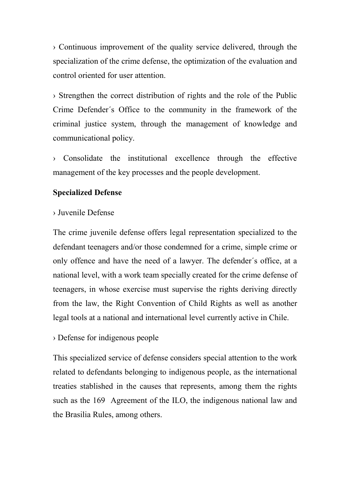› Continuous improvement of the quality service delivered, through the specialization of the crime defense, the optimization of the evaluation and control oriented for user attention.

› Strengthen the correct distribution of rights and the role of the Public Crime Defender´s Office to the community in the framework of the criminal justice system, through the management of knowledge and communicational policy.

› Consolidate the institutional excellence through the effective management of the key processes and the people development.

## **Specialized Defense**

## › Juvenile Defense

The crime juvenile defense offers legal representation specialized to the defendant teenagers and/or those condemned for a crime, simple crime or only offence and have the need of a lawyer. The defender´s office, at a national level, with a work team specially created for the crime defense of teenagers, in whose exercise must supervise the rights deriving directly from the law, the Right Convention of Child Rights as well as another legal tools at a national and international level currently active in Chile.

# › Defense for indigenous people

This specialized service of defense considers special attention to the work related to defendants belonging to indigenous people, as the international treaties stablished in the causes that represents, among them the rights such as the 169 Agreement of the ILO, the indigenous national law and the Brasilia Rules, among others.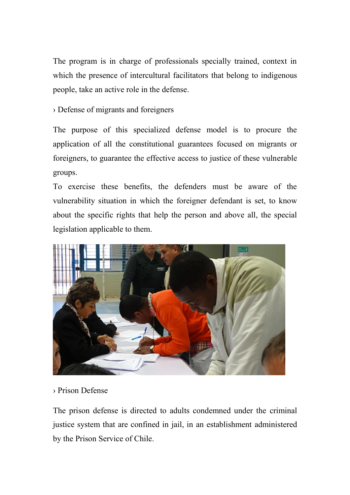The program is in charge of professionals specially trained, context in which the presence of intercultural facilitators that belong to indigenous people, take an active role in the defense.

› Defense of migrants and foreigners

The purpose of this specialized defense model is to procure the application of all the constitutional guarantees focused on migrants or foreigners, to guarantee the effective access to justice of these vulnerable groups.

To exercise these benefits, the defenders must be aware of the vulnerability situation in which the foreigner defendant is set, to know about the specific rights that help the person and above all, the special legislation applicable to them.



# › Prison Defense

The prison defense is directed to adults condemned under the criminal justice system that are confined in jail, in an establishment administered by the Prison Service of Chile.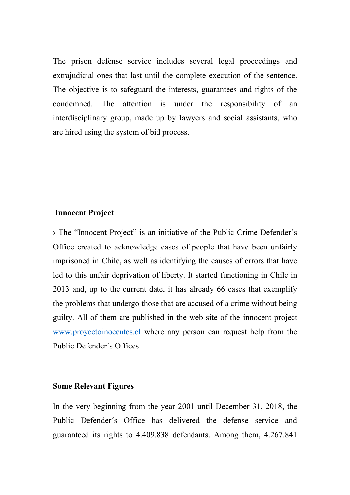The prison defense service includes several legal proceedings and extrajudicial ones that last until the complete execution of the sentence. The objective is to safeguard the interests, guarantees and rights of the condemned. The attention is under the responsibility of an interdisciplinary group, made up by lawyers and social assistants, who are hired using the system of bid process.

#### **Innocent Project**

› The "Innocent Project" is an initiative of the Public Crime Defender´s Office created to acknowledge cases of people that have been unfairly imprisoned in Chile, as well as identifying the causes of errors that have led to this unfair deprivation of liberty. It started functioning in Chile in 2013 and, up to the current date, it has already 66 cases that exemplify the problems that undergo those that are accused of a crime without being guilty. All of them are published in the web site of the innocent project [www.proyectoinocentes.cl](http://www.proyectoinocentes.cl/) where any person can request help from the Public Defender´s Offices.

#### **Some Relevant Figures**

In the very beginning from the year 2001 until December 31, 2018, the Public Defender´s Office has delivered the defense service and guaranteed its rights to 4.409.838 defendants. Among them, 4.267.841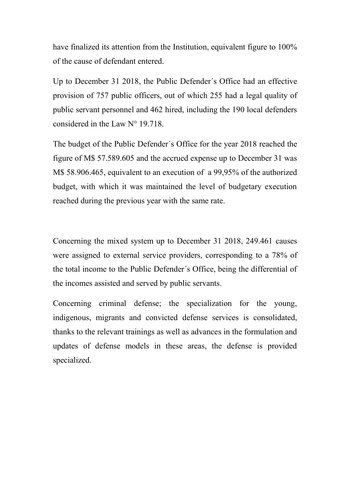have finalized its attention from the Institution, equivalent figure to 100% of the cause of defendant entered.

Up to December 31 2018, the Public Defender´s Office had an effective provision of 757 public officers, out of which 255 had a legal quality of public servant personnel and 462 hired, including the 190 local defenders considered in the Law N° 19.718.

The budget of the Public Defender´s Office for the year 2018 reached the figure of M\$ 57.589.605 and the accrued expense up to December 31 was M\$ 58.906.465, equivalent to an execution of a 99,95% of the authorized budget, with which it was maintained the level of budgetary execution reached during the previous year with the same rate.

Concerning the mixed system up to December 31 2018, 249.461 causes were assigned to external service providers, corresponding to a 78% of the total income to the Public Defender´s Office, being the differential of the incomes assisted and served by public servants.

Concerning criminal defense; the specialization for the young, indigenous, migrants and convicted defense services is consolidated, thanks to the relevant trainings as well as advances in the formulation and updates of defense models in these areas, the defense is provided specialized.